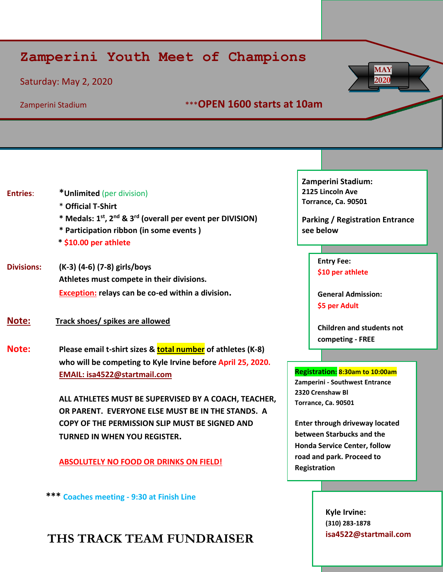# **Zamperini Youth Meet of Champions**

## Saturday: May 2, 2020

## Zamperini Stadium \*\*\***OPEN 1600 starts at 10am**

| <b>Entries:</b>   | *Unlimited (per division)<br>* Official T-Shirt<br>* Medals: 1 <sup>st</sup> , 2 <sup>nd</sup> & 3 <sup>rd</sup> (overall per event per DIVISION)<br>* Participation ribbon (in some events)<br>* \$10.00 per athlete | <b>Zamperini Stadium:</b><br>2125 Lincoln Ave<br>Torrance, Ca. 90501<br><b>Parking / Registration Entrance</b><br>see below |  |  |
|-------------------|-----------------------------------------------------------------------------------------------------------------------------------------------------------------------------------------------------------------------|-----------------------------------------------------------------------------------------------------------------------------|--|--|
| <b>Divisions:</b> | (K-3) (4-6) (7-8) girls/boys<br>Athletes must compete in their divisions.<br>Exception: relays can be co-ed within a division.                                                                                        | <b>Entry Fee:</b><br>\$10 per athlete<br><b>General Admission:</b><br>\$5 per Adult                                         |  |  |
| Note:<br>Note:    | Track shoes/ spikes are allowed<br>Please email t-shirt sizes & total number of athletes (K-8)                                                                                                                        | <b>Children and students not</b><br>competing - FREE                                                                        |  |  |
|                   | who will be competing to Kyle Irvine before April 25, 2020.                                                                                                                                                           |                                                                                                                             |  |  |
|                   | EMAIL: isa4522@startmail.com                                                                                                                                                                                          | Registration: 8:30am to 10:00am<br>Zamperini - Southwest Entrance                                                           |  |  |
|                   | ALL ATHLETES MUST BE SUPERVISED BY A COACH, TEACHER,<br>OR PARENT. EVERYONE ELSE MUST BE IN THE STANDS. A                                                                                                             | 2320 Crenshaw Bl<br>Torrance, Ca. 90501                                                                                     |  |  |
|                   | COPY OF THE PERMISSION SLIP MUST BE SIGNED AND                                                                                                                                                                        | <b>Enter through driveway located</b>                                                                                       |  |  |
|                   | <b>TURNED IN WHEN YOU REGISTER.</b>                                                                                                                                                                                   | between Starbucks and the<br><b>Honda Service Center, follow</b>                                                            |  |  |
|                   | <b>ABSOLUTELY NO FOOD OR DRINKS ON FIELD!</b>                                                                                                                                                                         | road and park. Proceed to<br>Registration                                                                                   |  |  |

 **\*\*\* Coaches meeting - 9:30 at Finish Line**

# **THS TRACK TEAM FUNDRAISER**

**Kyle Irvine: (310) 283-1878 isa4522@startmail.com**

**MAY 2020**